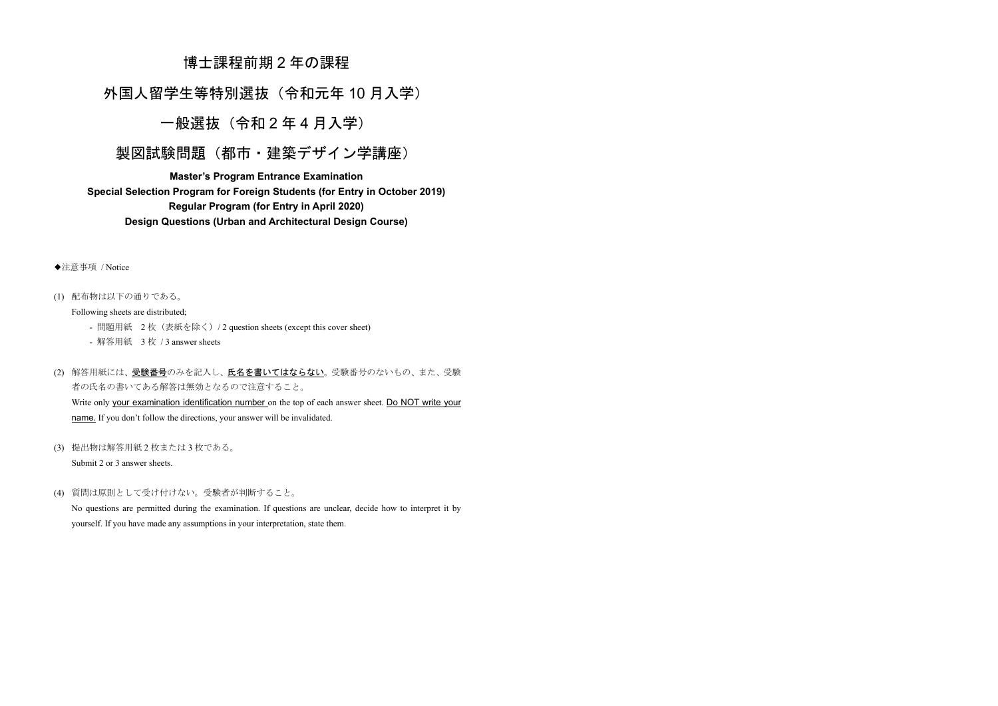# 博士課程前期2年の課程

外国人留学生等特別選抜 (令和元年10月入学)

一般選抜 (令和2年4月入学)

製図試験問題(都市・建築デザイン学講座)

**Master's Program Entrance Examination Special Selection Program for Foreign Students (for Entry in October 2019) Regular Program (for Entry in April 2020) Design Questions (Urban and Architectural Design Course)**

◆注意事項 / Notice

(1) 配布物は以下の通りである。

Following sheets are distributed;

- 問題用紙 2枚 (表紙を除く) / 2 question sheets (except this cover sheet)

- 解答用紙 3枚 / 3 answer sheets

(2) 解答用紙には、<u>受験番号</u>のみを記入し、<mark>氏名を書いてはならない</mark>。受験番号のないもの、また、受験 者の氏名の書いてある解答は無効となるので注意すること。

Write only your examination identification number on the top of each answer sheet. Do NOT write your name. If you don't follow the directions, your answer will be invalidated.

(3) 提出物は解答用紙2枚または3枚である。

Submit 2 or 3 answer sheets.

(4) 質問は原則として受け付けない。受験者が判断すること。

No questions are permitted during the examination. If questions are unclear, decide how to interpret it by yourself. If you have made any assumptions in your interpretation, state them.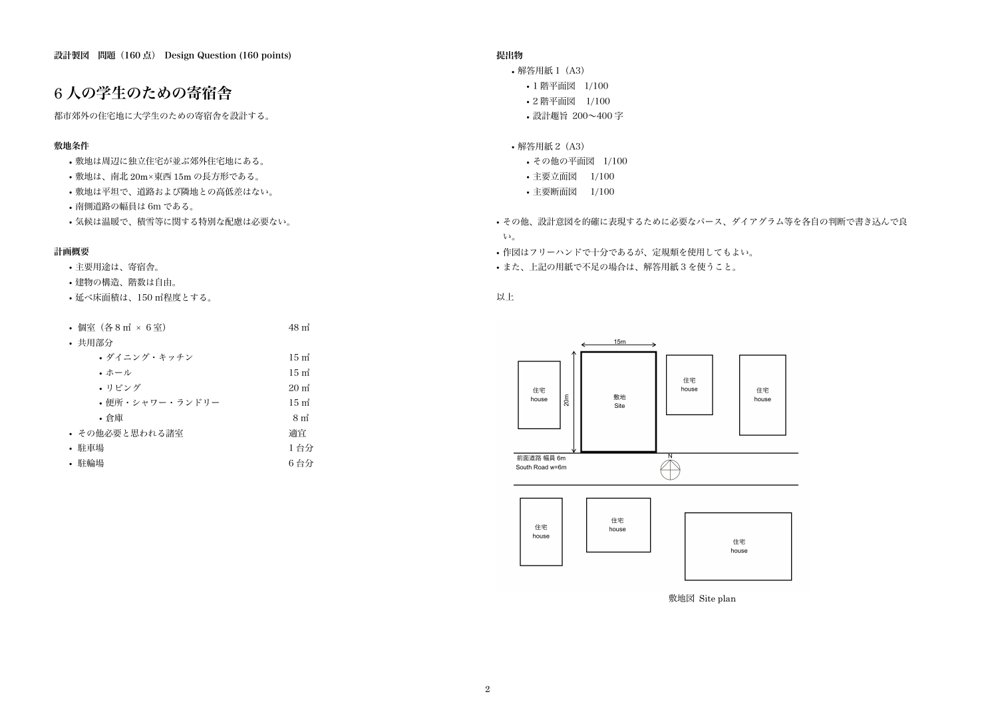住宅 house

# 6 人の学生のための寄宿舎

都市郊外の住宅地に大学生のための寄宿舎を設計する。

## 敷地条件

- 敷地は周辺に独立住宅が並ぶ郊外住宅地にある。
- 敷地は、南北 20m×東西 15m の長方形である。
- 敷地は平坦で、道路および隣地との高低差はない。
- 南側道路の幅員は 6m である。
- 気候は温暖で、積雪等に関する特別な配慮は必要ない。

## 計画概要

- 解答用紙 1 (A3)
	- 1 階平面図 1/100
	- 2 階平面図 1/100
	- 設計趣旨 200~400 字

#### • 解答用紙 2 (A3)

- 主要用途は、寄宿舎。
- 建物の構造、階数は自由。
- 延べ床面積は、150 ㎡程度とする。

| • 個室(各8㎡ × 6室)  | $48m^3$                     |
|-----------------|-----------------------------|
| • 共用部分          |                             |
| • ダイニング・キッチン    | $15 \text{ m}^2$            |
| ・ホール            | $15 \text{ m}^2$            |
| • リビング          | $20 \text{ m}^2$            |
| • 便所・シャワー・ランドリー | $15 \text{ m}^2$            |
| ・倉庫             | 8 <sub>m</sub> <sup>2</sup> |
| • その他必要と思われる諸室  | 適宜                          |
| • 駐車場           | 1台分                         |
| • 駐輪場           | 6 台分                        |

### 提出物

- その他の平面図 1/100
- 主要立面図 1/100
- 主要断面図 1/100
- その他、設計意図を的確に表現するために必要なパース、ダイアグラム等を各自の判断で書き込んで良  $V_{\alpha}$
- 作図はフリーハンドで十分であるが、定規類を使用してもよい。
- また、上記の用紙で不足の場合は、解答用紙 3 を使うこと。

以上



敷地図 Site plan